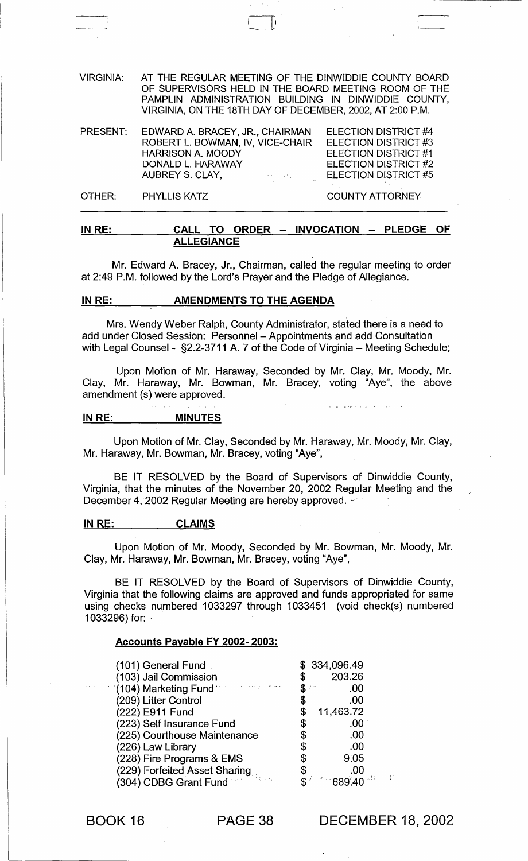VIRGINIA: AT THE REGULAR MEETING OF THE DINWIDDIE COUNTY BOARD OF SUPERVISORS HELD IN THE BOARD MEETING ROOM OF THE PAMPLIN ADMINISTRATION BUILDING IN DINWIDDIE COUNTY, VIRGINIA, ON THE 18TH DAY OF DECEMBER, 2002, AT 2:00 P.M. PRESENT: OTHER: EDWARD A. BRACEY, JR., CHAIRMAN ROBERT L. BOWMAN, IV, VICE-CHAIR HARRISON A. MOODY DONALD L. HARAWAY AUBREY S. CLAY, PHYLLIS KATZ . ELECTION DISTRICT #4 ELECTION DISTRICT #3 ELECTION DISTRICT #1 ELECTION DISTRICT #2 ELECTION DISTRICT #5 COUNTY ATTORNEY

o

# IN RE: CALL TO ORDER - INVOCATION - PLEDGE OF ALLEGIANCE

Mr. Edward A. Bracey, Jr., Chairman, called the regular meeting to order at 2:49 P.M. followed by the Lord's Prayer and the Pledge of Allegiance.

# IN RE: AMENDMENTS TO THE AGENDA

Mrs. Wendy Weber Ralph, County Administrator, stated there is a need to add under Closed Session: Personnel - Appointments and add Consultation with Legal Counsel - §2.2-3711 A. 7 of the Code of Virginia - Meeting Schedule;

Upon Motion of Mr. Haraway, Seconded by Mr. Clay, Mr. Moody, Mr. Clay, Mr. Haraway, Mr. Bowman, Mr. Bracey, voting "Aye", the above amendment (s) were approved.

#### IN RE: MINUTES

Upon Motion of Mr. Clay, Seconded by Mr. Haraway, Mr. Moody, Mr. Clay, Mr. Haraway, Mr. Bowman, Mr. Bracey, voting "Aye",

BE IT RESOLVED by the Board of Supervisors of Dinwiddie County, Virginia, that the minutes of the November 20, 2002 Regular Meeting and the December 4, 2002 Regular Meeting are hereby approved.  $\sim$ 

#### IN RE: CLAIMS

Upon Motion of Mr. Moody, Seconded by Mr. Bowman, Mr. Moody, Mr. Clay, Mr. Haraway, Mr. Bowman, Mr. Bracey, voting "Aye",

BE IT RESOLVED by the Board of Supervisors of Dinwiddie County, Virginia that the following claims are approved and funds appropriated for same using checks numbered 1033297 through 1033451 (void check(s) numbered 1033296) for: .

#### Accounts Payable FY 2002- 2003:

| (101) General Fund                 | \$334,096.49 |        |     |
|------------------------------------|--------------|--------|-----|
| (103) Jail Commission              |              | 203.26 |     |
| $\sim$ (104) Marketing Fund $\sim$ | S            | .00    |     |
| (209) Litter Control               |              | .00    |     |
| (222) E911 Fund                    | 11,463.72    |        |     |
| (223) Self Insurance Fund          |              | .00    |     |
| (225) Courthouse Maintenance       |              | .00    |     |
| (226) Law Library                  |              | .00    |     |
| (228) Fire Programs & EMS          |              | 9.05   |     |
| (229) Forfeited Asset Sharing      |              | .00    |     |
| (304) CDBG Grant Fund              |              |        | . H |
|                                    |              |        |     |

BOOK 16 PAGE 38

DECEMBER 18,2002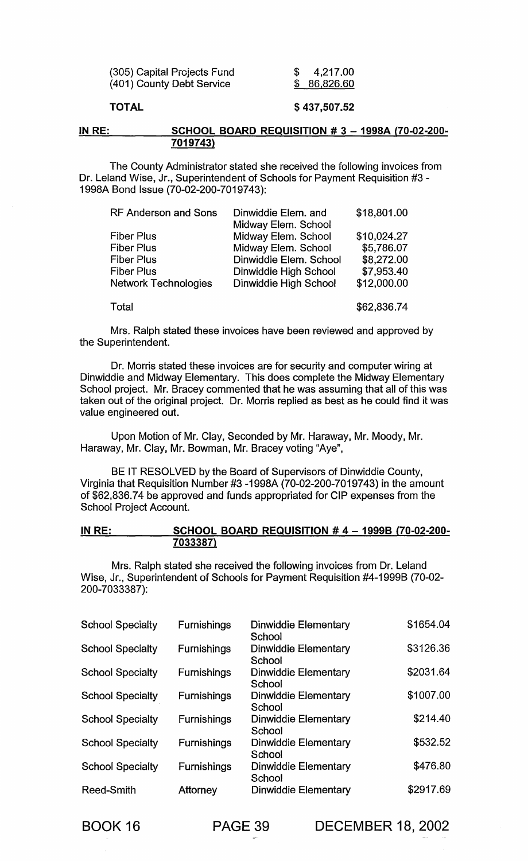| (305) Capital Projects Fund | 4,217.00    |
|-----------------------------|-------------|
| (401) County Debt Service   | \$86,826.60 |

# TOTAL

# \$ 437,507.52

#### IN RE: SCHOOL BOARD REQUISITION # 3 - 1998A (70-02-200-7019743)

The County Administrator stated she received the following invoices from Dr. Leland Wise, Jr., Superintendent of Schools for Payment Requisition #3 - 1998A Bond Issue (70-02-200-7019743):

| RF Anderson and Sons | Dinwiddie Elem. and    | \$18,801.00 |
|----------------------|------------------------|-------------|
|                      | Midway Elem. School    |             |
| Fiber Plus           | Midway Elem. School    | \$10,024.27 |
| Fiber Plus           | Midway Elem. School    | \$5,786.07  |
| Fiber Plus           | Dinwiddie Elem. School | \$8,272.00  |
| Fiber Plus           | Dinwiddie High School  | \$7,953.40  |
| Network Technologies | Dinwiddie High School  | \$12,000.00 |
|                      |                        |             |
| Total                |                        | \$62,836.74 |

Mrs. Ralph stated these invoices have been reviewed and approved by the Superintendent.

Dr. Morris stated these invoices are for security and computer wiring at Dinwiddie and Midway Elementary. This does complete the Midway Elementary School project. Mr. Bracey commented that he was assuming that all of this was taken out of the original project. Dr. Morris replied as best as he could find it was value engineered out.

Upon Motion of Mr. Clay, Seconded by Mr. Haraway, Mr. Moody, Mr. Haraway, Mr. Clay, Mr. Bowman, Mr. Bracey voting "Aye",

BE IT RESOLVED by the Board of Supervisors of Dinwiddie County, Virginia that Requisition Number #3 -1998A (70-02-200-7019743) in the amount of \$62,836.74 be approved and funds appropriated for CIP expenses from the School Project Account.

# IN RE: SCHOOL BOARD REQUISITION # 4 - 1999B (70-02-200-7033387)

Mrs. Ralph stated she received the following invoices from Dr. Leland Wise, Jr., Superintendent of Schools for Payment Requisition #4-1999B (70-02- 200-7033387):

| <b>School Specialty</b> | <b>Furnishings</b> | <b>Dinwiddie Elementary</b><br>School | \$1654.04 |
|-------------------------|--------------------|---------------------------------------|-----------|
| <b>School Specialty</b> | <b>Furnishings</b> | Dinwiddie Elementary<br>School        | \$3126.36 |
| <b>School Specialty</b> | <b>Furnishings</b> | Dinwiddie Elementary<br>School        | \$2031.64 |
| <b>School Specialty</b> | <b>Furnishings</b> | Dinwiddie Elementary<br>School        | \$1007.00 |
| <b>School Specialty</b> | <b>Furnishings</b> | <b>Dinwiddie Elementary</b><br>School | \$214.40  |
| <b>School Specialty</b> | <b>Furnishings</b> | Dinwiddie Elementary<br>School        | \$532.52  |
| <b>School Specialty</b> | <b>Furnishings</b> | Dinwiddie Elementary<br>School        | \$476.80  |
| Reed-Smith              | <b>Attorney</b>    | <b>Dinwiddie Elementary</b>           | \$2917.69 |

BOOK 16 PAGE 39 DECEMBER 18, 2002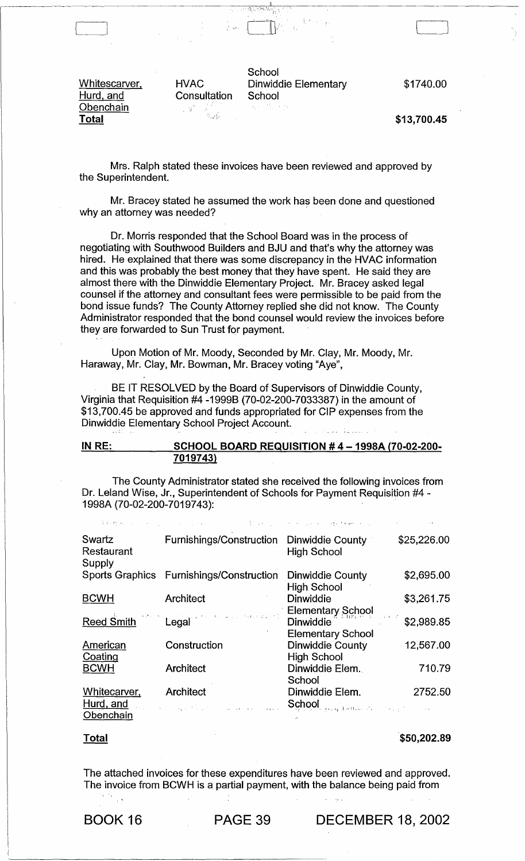Whitescarver, Hurd, and **Obenchain Total** 

[\_I

**Consultation School**<br> **Example 3** 

**School** HVAC Dinwiddie Elementary

\$1740.00

, .. :i,:.,.""~.,,,,------------------

\$13,700.45

Mrs. Ralph stated these invoices have been reviewed and approved by the Superintendent.

 $\begin{array}{ccc} \hline \end{array}$ ·L~,.-JLJ'

Mr. Bracey stated he assumed the work has been done and questioned why an attorney was needed?

Dr. Morris responded that the School Board was in the process of negotiating with Southwood Builders and BJU and that's why the attorney was hired. He explained that there was some discrepancy in the HVAC information and this was probably the best money that they have spent. He said they are almost there with the Dinwiddie Elementary Project. Mr. Bracey asked legal counsel if the attorney and consultant fees were permissible to be paid from the bond issue funds? The County Attorney replied she did not know. The County Administrator responded that the bond counsel would review the invoices before they are forwarded to Sun Trust for payment.

Upon Motion of Mr. Moody, Seconded by Mr. Clay, Mr. Moody, Mr. Haraway, Mr. Clay, Mr. Bowman, Mr. Bracey voting "Aye",

BE IT RESOLVED by the Board of Supervisors of Dinwiddie County, Virginia that Requisition #4 -1999B (70-02-200-7033387) in the amount of \$13,700.45 be approved and funds appropriated for CIP expenses from the Dinwiddie Elementary School Project Account.

| IN RE: | <b>SCHOOL BOARD REQUISITION #4-1998A (70-02-200-</b> |  |
|--------|------------------------------------------------------|--|
|        | 7019743)                                             |  |

The County Administrator stated she received the following invoices from Dr. Leland Wise, Jr., Superintendent of Schools for Payment Requisition #4- 1998A (70-02-200-7019743): '

| Swartz<br>Restaurant<br>Supply | Furnishings/Construction Dinwiddie County                                                                                                                                                                                                                                                                                                                                                                                                                                      | <b>High School</b>                                              | \$25,226.00 |
|--------------------------------|--------------------------------------------------------------------------------------------------------------------------------------------------------------------------------------------------------------------------------------------------------------------------------------------------------------------------------------------------------------------------------------------------------------------------------------------------------------------------------|-----------------------------------------------------------------|-------------|
|                                | Sports Graphics Furnishings/Construction                                                                                                                                                                                                                                                                                                                                                                                                                                       | Dinwiddie County<br><b>High School</b>                          | \$2,695.00  |
| <b>BCWH</b>                    | <b>Architect</b>                                                                                                                                                                                                                                                                                                                                                                                                                                                               | <b>Dinwiddie</b><br><b>Elementary School</b>                    | \$3,261.75  |
| <b>Reed Smith</b>              | $\label{eq:3.1} \mathbf{F}(\mathbf{r}) = \mathbf{L}_{\text{total}} \left[ \mathbf{r} \cdot \mathbf{r} + \mathbf{r} \cdot \mathbf{r} \cdot \mathbf{r} \right] \mathbf{r} \left[ \mathbf{r} \cdot \mathbf{r} \right] \mathbf{r} \left[ \mathbf{r} \right] \mathbf{r} \left[ \mathbf{r} \right] \mathbf{r} \left[ \mathbf{r} \right] \mathbf{r} \left[ \mathbf{r} \right] \mathbf{r} \left[ \mathbf{r} \right] \mathbf{r} \left[ \mathbf{r} \right] \mathbf{r} \left[ \$<br>Legal | Dinwiddie<br><b>Elementary School</b>                           | \$2,989.85  |
| American<br>Coating            | Construction                                                                                                                                                                                                                                                                                                                                                                                                                                                                   | Dinwiddie County<br><b>High School</b>                          | 12,567.00   |
| <b>BCWH</b>                    | <b>Architect</b>                                                                                                                                                                                                                                                                                                                                                                                                                                                               | Dinwiddie Elem.<br>School                                       | 710.79      |
| Whitecarver,<br>Hurd, and      | Architect<br>and the service special                                                                                                                                                                                                                                                                                                                                                                                                                                           | Dinwiddie Elem.<br>School and there is a security of the second | 2752.50     |
| Obenchain                      |                                                                                                                                                                                                                                                                                                                                                                                                                                                                                |                                                                 |             |

**Total** 

 $\mathcal{L}^{\mathcal{L}}$  .

\$50,202.89

The attached invoices for these expenditures have been reviewed and approved. The invoice from BCWH is a partial payment, with the balance being paid from

BOOK 16 PAGE 39 DECEMBER 18, 2002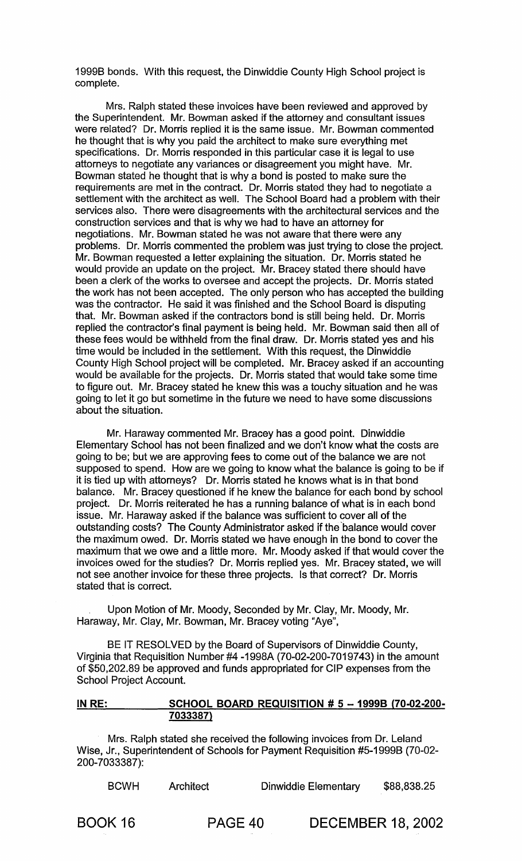1999B bonds. With this request, the Dinwiddie County High School project is complete.

Mrs. Ralph stated these invoices have been reviewed and approved by the Superintendent. Mr. Bowman asked if the attorney and consultant issues were related? Dr. Morris replied it is the same issue. Mr. Bowman commented he thought that is why you paid the architect to make sure everything met specifications. Dr. Morris responded in this particular case it is legal to use attorneys to negotiate any variances or disagreement you might have. Mr. Bowman stated he thought that is why a bond is posted to make sure the requirements are met in the contract. Dr. Morris stated they had to negotiate a settlement with the architect as well. The School Board had a problem with their services also. There were disagreements with the architectural services and the construction services and that is why we had to have an attorney for negotiations. Mr. Bowman stated he was not aware that there were any problems. Dr. Morris commented the problem was just trying to close the project. Mr. Bowman requested a letter explaining the situation. Dr. Morris stated he would provide an update on the project. Mr. Bracey stated there should have been a clerk of the works to oversee and accept the projects. Dr. Morris stated the work has not been accepted. The only person who has accepted the building was the contractor. He said it was finished and the School Board is disputing that. Mr. Bowman asked if the contractors bond is still being held. Dr. Morris replied the contractor's final payment is being held. Mr. Bowman said then all of these fees would be withheld from the final draw. Dr. Morris stated yes and his time would be included in the settlement. With this request, the Dinwiddie County High School project will be completed. Mr. Bracey asked if an accounting would be available for the projects. Dr. Morris stated that would take some time to figure out. Mr. Bracey stated he knew this was a touchy situation and he was going to let it go but sometime in the future we need to have some discussions about the situation.

Mr. Haraway commented Mr. Bracey has a good point. Dinwiddie Elementary School has not been finalized and we don't know what the costs are going to be; but we are approving fees to come out of the balance we are not supposed to spend. How are we going to know what the balance is going to be if it is tied up with attorneys? Dr. Morris stated he knows what is in that bond balance. Mr. Bracey questioned if he knew the balance for each bond by school project. Dr. Morris reiterated he has a running balance of what is in each bond issue. Mr. Haraway asked if the balance was sufficient to cover all of the outstanding costs? The County Administrator asked if the 'balance would cover the maximum owed. Dr. Morris stated we have enough in the bond to cover the maximum that we owe and a little more. Mr. Moody asked if that would cover the invoices owed for the studies? Dr. Morris replied yes. Mr. Bracey stated, we will not see another invoice for these three projects. Is that correct? Dr. Morris stated that is correct.

Upon Motion of Mr. Moody, Seconded by Mr. Clay, Mr. Moody, Mr. Haraway, Mr. Clay, Mr. Bowman, Mr. Bracey voting "Aye",

BE IT RESOLVED by the Board of Supervisors of Dinwiddie County, Virginia that Requisition Number #4 -1998A (70-02-200-7019743) in the amount of \$50,202.89 be approved and funds appropriated for CIP expenses from the School Project Account.

# IN RE: SCHOOL BOARD REQUISITION # 5 - 1999B (70-02-200-7033387)

Mrs. Ralph stated she received the following invoices from Dr. Leland Wise, Jr., Superintendent of Schools for Payment Requisition #5-1999B (70-02- 200-7033387):

| <b>BCWH</b> | Architect | Dinwiddie Elementary | \$88,838.25 |
|-------------|-----------|----------------------|-------------|
|-------------|-----------|----------------------|-------------|

BOOK 16 PAGE 40 DECEMBER 18, 2002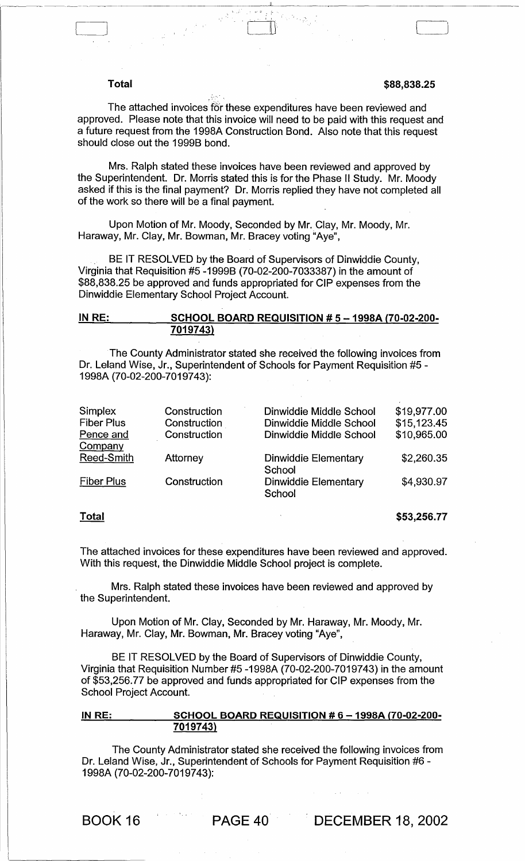# **Total \$88,838.25**

The attached invoices for these expenditures have been reviewed and approved. Please note that this invoice will need to be paid with this request and a future request from the 1998A Construction Bond. Also note that this request should close out the 1999B bond.

 $\Box$ 

Mrs. Ralph stated these invoices have been reviewed and approved by the Superintendent. Dr. Morris stated this is for the Phase II Study. Mr. Moody asked if this is the final payment? Dr. Morris replied they have not completed all of the work so there will be a final payment.

Upon Motion of Mr. Moody, Seconded by Mr. Clay, Mr. Moody, Mr. Haraway, Mr. Clay, Mr. Bowman, Mr. Bracey voting "Aye",

. BE IT RESOLVED by the Board of Supervisors of Dinwiddie County, Virginia that Requisition #5 -1999B (70-02-200-7033387) in the amount of \$88,838.25 be approved and funds appropriated for CIP expenses from the Dinwiddie Elementary School Project Account.

## IN RE: SCHOOL BOARD REQUISITION # 5 - 1998A (70-02-200-7019743)

The County Administrator stated she received the following invoices from Dr. Leland Wise, Jr., Superintendent of Schools for Payment Requisition #5 - 1998A (70-02-200-7019743):

| Simplex<br><b>Fiber Plus</b> | Construction<br>Construction<br>Construction | Dinwiddie Middle School<br>Dinwiddie Middle School | \$19,977.00<br>\$15,123.45<br>\$10,965.00 |
|------------------------------|----------------------------------------------|----------------------------------------------------|-------------------------------------------|
| Pence and                    |                                              | Dinwiddie Middle School                            |                                           |
| Company                      |                                              |                                                    |                                           |
| <b>Reed-Smith</b>            | Attorney                                     | Dinwiddie Elementary                               | \$2,260.35                                |
|                              |                                              | School                                             |                                           |
| <b>Fiber Plus</b>            | Construction                                 | <b>Dinwiddie Elementary</b>                        | \$4,930.97                                |
|                              |                                              | School                                             |                                           |
|                              |                                              |                                                    |                                           |

#### **Total**

\$53,256.77

The attached invoices for these expenditures have been reviewed and approved. With this request, the Dinwiddie Middle School project is complete.

Mrs. Ralph stated these invoices have been reviewed and approved by the Superintendent.

Upon Motion of Mr. Clay, Seconded by Mr. Haraway, Mr. Moody, Mr. Haraway, Mr. Clay, Mr. Bowman, Mr. Bracey voting "Aye",

BE IT RESOLVED by the Board of Supervisors of Dinwiddie County, Virginia that Requisition Number #5 -1998A (70-02-200-7019743) in the amount of \$53,256.77 be approved and funds appropriated for CIP expenses from the School Project Account.

# IN RE: SCHOOL BOARD REQUISITION # 6 - 1998A (70-02-200-7019743)

The County Administrator stated she received the following invoices from Dr. Leland Wise, Jr., Superintendent of Schools for Payment Requisition #6- 1998A (70-02-200-7019743):

BOOK 16 PAGE 40 DECEMBER 18, 2002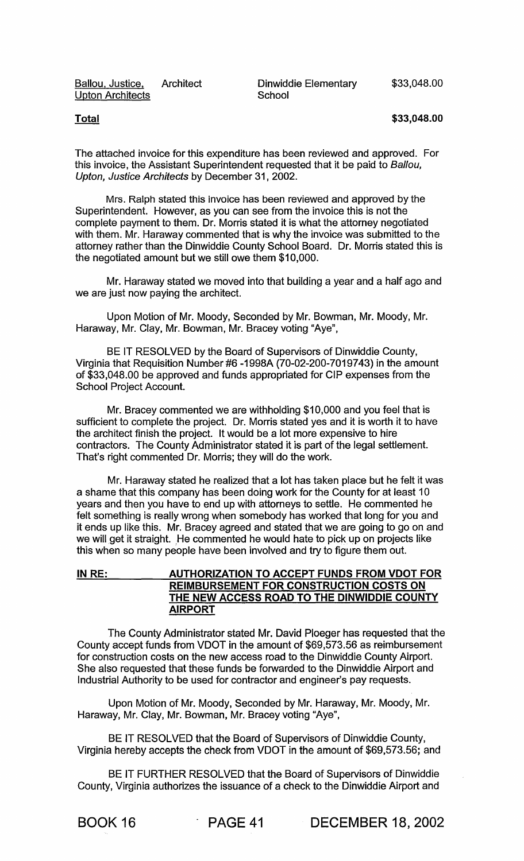Ballou, Justice, Architect Dinwiddie Elementary Upton Architects

**School** 

## **Total \$33,048.00**

The attached invoice for this expenditure has been reviewed and approved. For this invoice, the Assistant Superintendent requested that it be paid to Ballou, Upton, Justice Architects by December 31,2002.

Mrs. Ralph stated this invoice has been reviewed and approved by the Superintendent. However, as you can see from the invoice this is not the complete payment to them. Dr. Morris stated it is what the attorney negotiated with them. Mr. Haraway commented that is why the invoice was submitted to the attorney rather than the Dinwiddie County School Board. Dr. Morris stated this is the negotiated amount but we still owe them \$10,000.

Mr. Haraway stated we moved into that building a year and a half ago and we are just now paying the architect.

Upon Motion of Mr. Moody, Seconded by Mr. Bowman, Mr. Moody, Mr. Haraway, Mr. Clay, Mr. Bowman, Mr. Bracey voting "Aye",

BE IT RESOLVED by the Board of Supervisors of Dinwiddie County, Virginia that Requisition Number #6 -1998A (70-02-200-7019743) in the amount of \$33,048.00 be approved and funds appropriated for CIP expenses from the School Project Account.

Mr. Bracey commented we are withholding \$10,000 and you feel that is sufficient to complete the project. Dr. Morris stated yes and it is worth it to have the architect finish the project. It would be a lot more expensive to hire contractors. The County Administrator stated it is part of the legal settlement. That's right commented Dr. Morris; they will do the work.

Mr. Haraway stated he realized that a lot has taken place but he felt it was a shame that this company has been doing work for the County for at least 10 years and then you have to end up with attorneys to settle. He commented he felt something is really wrong when somebody has worked that long for you and it ends up like this. Mr. Bracey agreed and stated that we are going to go on and we will get it straight. He commented he would hate to pick up on projects like this when so many people have been involved and try to figure them out.

# IN RE: AUTHORIZATION TO ACCEPT FUNDS FROM VDOT FOR REIMBURSEMENT FOR CONSTRUCTION COSTS ON THE NEW ACCESS ROAD TO THE DINWIDDIE COUNTY AIRPORT

The County Administrator stated Mr. David Ploeger has requested that the County accept funds from VDOT in the amount of \$69,573.56 as reimbursement for construction costs on the new access road to the Dinwiddie County Airport. She also requested that these funds be forwarded to the Dinwiddie Airport and Industrial Authority to be used for contractor and engineer's pay requests.

Upon Motion of Mr. Moody, Seconded by Mr. Haraway, Mr. Moody, Mr. Haraway, Mr. Clay, Mr. Bowman, Mr. Bracey voting "Aye",

BE IT RESOLVED that the Board of Supervisors of Dinwiddie County, Virginia hereby accepts the check from VDOT in the amount of \$69,573.56; and

BE IT FURTHER RESOLVED that the Board of Supervisors of Dinwiddie County, Virginia authorizes the issuance of a check to the Dinwiddie Airport and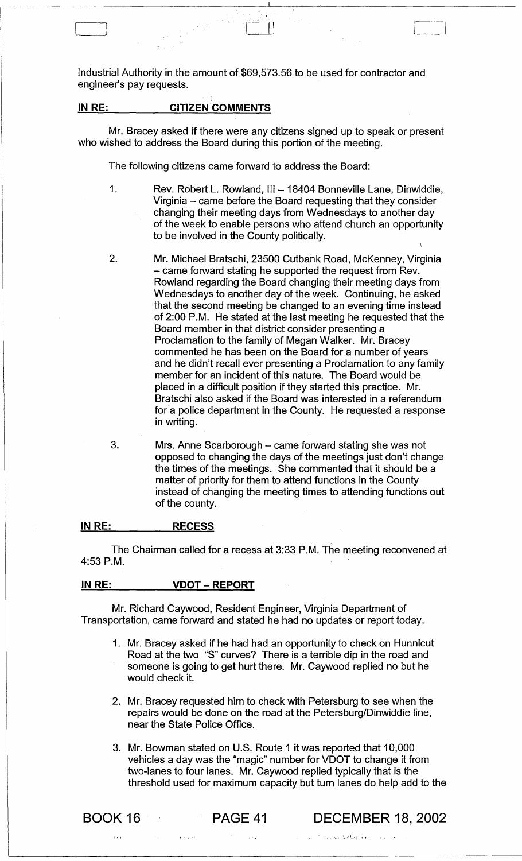Industrial Authority in the amount of \$69,573.56 to be used for contractor and engineer's pay requests.

 $\begin{array}{c} \hline \ \hline \ \hline \ \end{array}$ 

--------------------------------------~------~-----------------------------

# **IN RE:** CITIZEN COMMENTS

Mr. Bracey asked if there were any citizens signed up to speak or present who wished to address the Board during this portion of the meeting.

The following citizens came forward to address the Board:

- 1. Rev. Robert L. Rowland, III 18404 Bonneville Lane, Dinwiddie, Virginia - came before the Board requesting that they consider changing their meeting days from Wednesdays to another day of the week to enable persons who attend church an opportunity to be involved in the County politically.
- 2. Mr. Michael Bratschi, 23500 Cutbank Road, McKenney, Virginia - came forward stating he supported the request from Rev. Rowland regarding the Board changing their meeting days from Wednesdays to another day of the week. Continuing, he asked that the second meeting be changed to an evening time instead of 2:00 P.M. He stated at the last meeting he requested that the Board member in that district consider presenting a Proclamation to the family of Megan Walker. Mr. Bracey commented he has been on the Board for a number of years and he didn't recall ever presenting a Proclamation to any family member for an incident of this nature. The Board would be placed in a difficult position if they started this practice. Mr. Bratschi also asked if the Board was interested in a referendum for'a police department in the County. He requested a response in writing.
- 3. Mrs. Anne Scarborough – came forward stating she was not opposed to changing the days of the meetings just don't change the times of the meetings. She commented that it should be a matter of priority for them to attend functions in the County instead of changing the meeting times to attending functions out of the county.

#### **IN RE: RECESS**

The Chairman called for a recess at 3:33 P.M. The meeting reconvened at 4:53 P.M.

#### **IN RE: VDOT - REPORT**

Mr. Richard Caywood, Resident Engineer, Virginia Department of Transportation, came forward and stated he had no updates or report today.

- 1. Mr. Bracey asked if he had had an opportunity to check on Hunnicut Road at the two "S" curves? There is a terrible dip in the road and someone is going to get hurt there. Mr. Caywood replied no but he would check it.
- 2. Mr. Bracey requested him to check with Petersburg to see when the repairs would be done on the road at the Petersburg/Dinwiddie line, near the State Police Office.
- 3. Mr. Bowman stated on U.S. Route 1 it was reported that 10,000 vehicles a day was the "magic" number for VDOT to change it from two-lanes to four lanes. Mr. Caywood replied typically that is the threshold used for maximum capacity but turn lanes do help add to the

 $\frac{1}{2}$ 

BOOK 16 **PAGE 41 DECEMBER** 18, 2002

 $\sim 1.1$   $\sim$   $\lambda$ 

 $\mathcal{L} = \mathcal{L}(\mathbf{r}, \mathbf{r}_0, \mathbf{t}_0)$  LzG (s),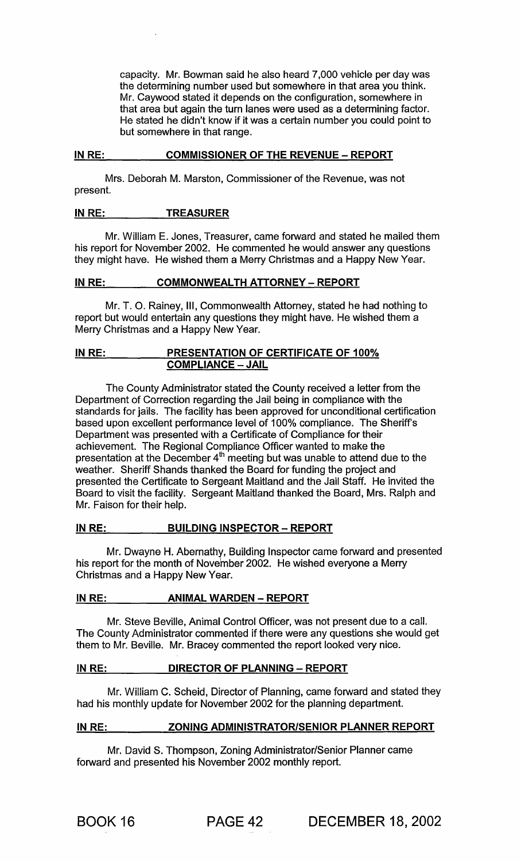capacity. Mr. Bowman said he also heard 7,000 vehicle per day was the determining number used but somewhere in that area you think. Mr. Caywood stated it depends on the configuration, somewhere in that area but again the turn lanes were used as a determining factor. He stated he didn't know if it was a certain number you could point to but somewhere in that range.

#### IN RE: COMMISSIONER OF THE REVENUE - REPORT

Mrs. Deborah M. Marston, Commissioner of the Revenue, was not present.

# IN RE: TREASURER

Mr. William E. Jones, Treasurer, came forward and stated he mailed them his report for November 2002. He commented he would answer any questions they might have. He wished them a Merry Christmas and a Happy New Year.

# IN RE: COMMONWEALTH ATTORNEY - REPORT

Mr. T. O. Rainey, III, Commonwealth Attorney, stated he had nothing to report but would entertain any questions they might have. He wished them a Merry Christmas and a Happy New Year.

# IN RE: PRESENTATION OF CERTIFICATE OF 100% COMPLIANCE - JAIL

The County Administrator stated the County received a letter from the Department of Correction regarding the Jail being in compliance with the standards for jails. The facility has been approved for unconditional certification based upon excellent performance level of 100% compliance. The Sheriff's Department was presented with a Certificate of Compliance for their achievement. The Regional Compliance Officer wanted to make the presentation at the December 4 $^{\rm m}$  meeting but was unable to attend due to the weather. Sheriff Shands thanked the Board for funding the project and presented the Certificate to Sergeant Maitland and the Jail Staff. He invited the Board to visit the facility. Sergeant Maitland thanked the Board, Mrs. Ralph and Mr. Faison for their help.

# IN RE: BUILDING INSPECTOR - REPORT

Mr. Dwayne H. Abernathy, Building Inspector came forward and presented his report for the month of November 2002. He wished everyone a Merry Christmas and a Happy New Year.

# IN RE: **ANIMAL WARDEN - REPORT**

Mr. Steve Beville, Animal Control Officer, was not present due to a call. The County Administrator commented if there were any questions she would get them to Mr. Beville. Mr. Bracey commented the report looked very nice.

# IN RE: DIRECTOR OF PLANNING - REPORT

Mr. William C. Scheid, Director of Planning, came forward and stated they had his monthly update for November 2002 for the planning department.

# INRE: ZONING ADMINISTRATOR/SENIOR PLANNER REPORT

Mr. David S. Thompson, Zoning Administrator/Senior Planner came forward and presented his November 2002 monthly report.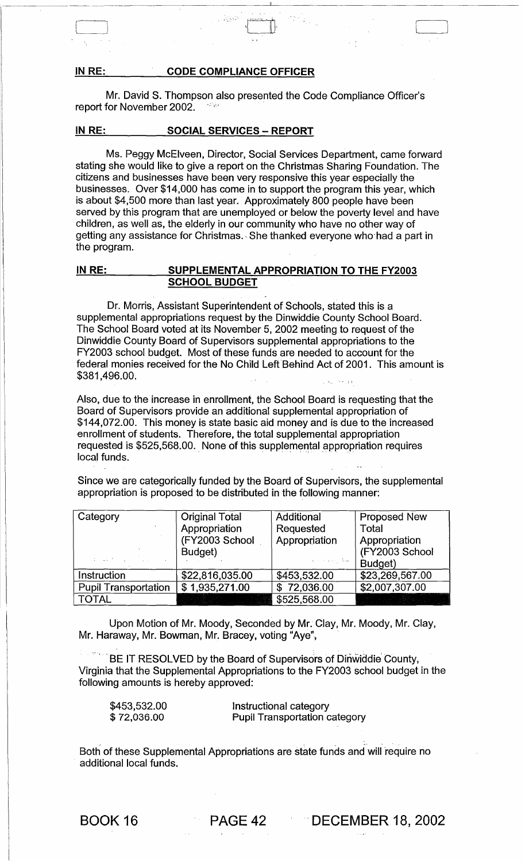#### IN RE: CODE COMPLIANCE OFFICER

Mr. David S. Thompson also presented the Code Compliance Officer's report for November 2002.

, and  $\sim$ 

## IN RE: SOCIAL SERVICES - REPORT

Ms. Peggy McElveen, Director, Social Services Department, came forward stating she would like to give a report on the Christmas Sharing Foundation. The citizens and businesses have been very responsive this year especially the businesses. Over \$14,000 has come in to support the program this year, which is about \$4,500 more than last year. Approximately 800 people have been served by this program that are unemployed or below the poverty level and have children, as well as, the elderly in our community who have no other way of getting any assistance for Christmas., She thanked everyone who'had a part in the program.

## IN RE: SUPPLEMENTAL APPROPRIATION TO THE FY2003 SCHOOL BUDGET

Dr. Morris, Assistant Superintendent of Schools, stated this is a supplemental appropriations request by the Dinwiddie County School Board. The School Board voted at its November 5,2002 meeting to request of the Dinwiddie County Board of Supervisors supplemental appropriations to the FY2003 school budget. Most of these funds are needed to account for the federal monies received for the No Child Left Behind Act of 2001. This amount is \$381,496.00.

Also, due to the increase in enrollment, the School Board is requesting that the Board of Supervisors provide an additional supplemental appropriation of \$144,072.00. This money is state basic aid money and is due to the increased enrollment of students. Therefore, the total supplemental appropriation requested is \$525,568.00. None of this supplemental appropriation requires local funds. .

Since we are categorically funded by the Board of Supervisors, the supplemental appropriation is proposed to be distributed in the following manner:

| Category                    | <b>Original Total</b> | Additional                | <b>Proposed New</b> |
|-----------------------------|-----------------------|---------------------------|---------------------|
|                             | Appropriation         | Requested                 | Total               |
|                             | (FY2003 School        | Appropriation             | Appropriation       |
|                             | Budget)               |                           | (FY2003 School      |
| and a string of the         |                       | العقاريب بالمنا           | Budget)             |
| Instruction                 | \$22,816,035.00       | \$453,532.00              | \$23,269,567.00     |
| <b>Pupil Transportation</b> | \$1,935,271.00        | $\overline{\$}$ 72,036.00 | \$2,007,307.00      |
| <b>TOTAL</b>                |                       | \$525,568.00              |                     |

Upon Motion of Mr. Moody, Seconded by Mr. Clay, Mr. Moody, Mr. Clay, Mr. Haraway, Mr. Bowman, Mr. Bracey, voting "Aye",

BE IT RESOLVED by the Board of Supervisors of Dinwiddie County, Virginia that the Supplemental Appropriations to the FY2003 school budget in the following amounts is hereby approved:

\$453,532.00 \$ 72,036.00

Instructional category Pupil Transportation category

. The contract of the contract of the contract of the contract of the contract of the contract of the contract of the contract of the contract of the contract of the contract of the contract of the contract of the contrac Both of these Supplemental Appropriations are state funds and will 'require no additional local funds.

BOOK 16 **PAGE 42** DECEMBER 18, 2002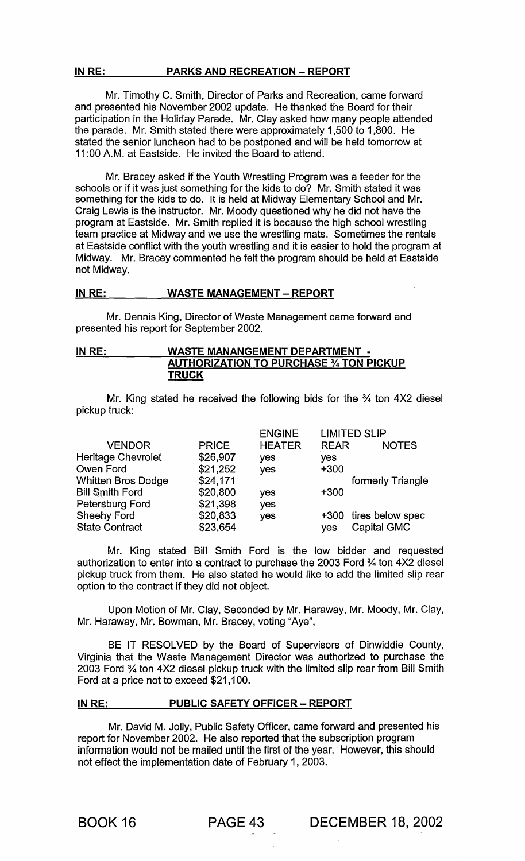# IN RE: PARKS AND RECREATION - REPORT

Mr. Timothy C. Smith, Director of Parks and Recreation, came forward and presented his November 2002 update. He thanked the Board for their participation in the Holiday Parade. Mr. Clay asked how many people attended the parade. Mr. Smith stated there were approximately 1,500 to 1,800. He stated the senior luncheon had to be postponed and will be held tomorrow at 11 :00 A.M. at Eastside. He invited the Board to attend.

Mr. Bracey asked if the Youth Wrestling Program was a feeder for the schools or if it was just something for the kids to do? Mr. Smith stated it was something for the kids to do. It is held at Midway Elementary School and Mr. Craig Lewis is the instructor. Mr. Moody questioned why he did not have the program at Eastside. Mr. Smith replied it is because the high school wrestling team practice at Midway and we use the wrestling mats. Sometimes the rentals at Eastside conflict with the youth wrestling and it is easier to hold the program at Midway. Mr. Bracey commented he felt the program should be held at Eastside not Midway.

## IN RE: WASTE MANAGEMENT - REPORT

Mr. Dennis King, Director of Waste Management came forward and presented his report for September 2002.

# IN RE: WASTE MANANGEMENT DEPARTMENT -AUTHORIZATION TO PURCHASE % TON PICKUP **TRUCK**

Mr. King stated he received the following bids for the % ton 4X2 diesel pickup truck:

|                           |              | <b>ENGINE</b> |             | LIMITED SLIP          |
|---------------------------|--------------|---------------|-------------|-----------------------|
| <b>VENDOR</b>             | <b>PRICE</b> | <b>HEATER</b> | <b>REAR</b> | <b>NOTES</b>          |
| <b>Heritage Chevrolet</b> | \$26,907     | yes           | yes         |                       |
| Owen Ford                 | \$21,252     | yes           | $+300$      |                       |
| <b>Whitten Bros Dodge</b> | \$24,171     |               |             | formerly Triangle     |
| <b>Bill Smith Ford</b>    | \$20,800     | yes           | $+300$      |                       |
| Petersburg Ford           | \$21,398     | yes           |             |                       |
| <b>Sheehy Ford</b>        | \$20,833     | yes           |             | +300 tires below spec |
| <b>State Contract</b>     | \$23,654     |               | <b>ves</b>  | <b>Capital GMC</b>    |
|                           |              |               |             |                       |

Mr. King stated Bill Smith Ford is the low bidder and requested authorization to enter into a contract to purchase the 2003 Ford % ton 4X2 diesel pickup truck from them. He also stated he would like to add the limited slip rear option to the contract if they did not object.

Upon Motion of Mr. Clay, Seconded by Mr. Haraway, Mr. Moody, Mr. Clay, Mr. Haraway, Mr. Bowman, Mr. Bracey, voting "Aye",

BE IT RESOLVED by the Board of Supervisors of Dinwiddie County, Virginia that the Waste Management Director was authorized to purchase the 2003 Ford % ton 4X2 diesel pickup truck with the limited slip rear from Bill Smith Ford at a price not to exceed \$21,100.

# IN RE: PUBLIC SAFETY OFFICER - REPORT

Mr. David M. Jolly, Public Safety Officer, came forward and presented his report for November 2002. He also reported that the subscription program information would not be mailed until the first of the year. However, this should not effect the implementation date of February 1, 2003.

BOOK 16 PAGE 43 DECEMBER 18, 2002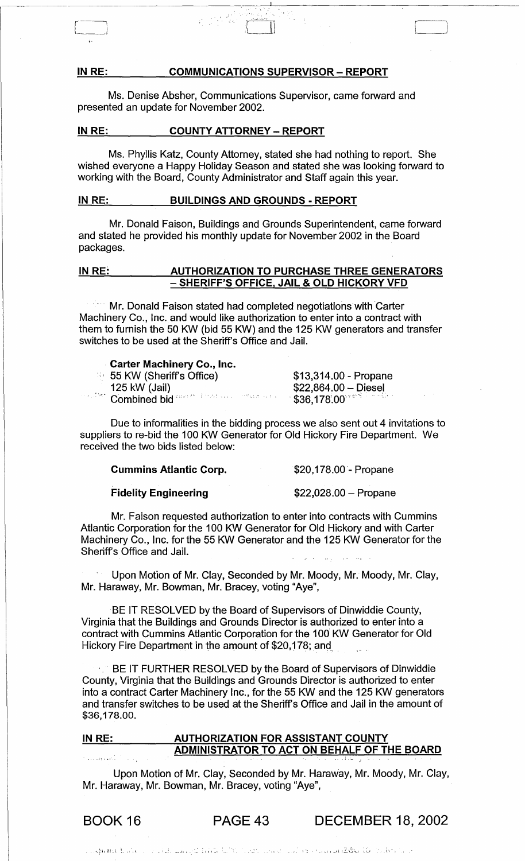#### IN RE: COMMUNICATIONS SUPERVISOR - REPORT

-~--------------------o------"----~-----------------

Ms. Denise Absher, Communications Supervisor, came forward and presented an update for November 2002.

#### IN RE: COUNTY ATTORNEY - REPORT

 $\mathcal{L}_{\text{max}}$  , where  $\mathcal{L}_{\text{max}}$ 

 $\begin{bmatrix} \phantom{-} \end{bmatrix}$ 

Ms. Phyllis Katz, County Attorney, stated she had nothing to report. She wished everyone a Happy Holiday Season and stated she was looking forward to working with the Board, County Administrator and Staff again this year.

#### IN RE: BUILDINGS AND GROUNDS - REPORT

Mr. Donald Faison, Buildings and Grounds Superintendent, came forward and stated he provided his monthly update for November 2002 in the Board packages.

# IN RE: AUTHORIZATION TO PURCHASE THREE GENERATORS - SHERIFF'S OFFICE, JAIL & OLD HICKORY VFD

Mr. Donald Faison stated had completed negotiations with Carter Machinery Co., Inc. and would like authorization to enter into a contract with them to furnish the 50 KW (bid 55 KW) and the 125 KW generators and transfer switches to be used at the Sheriffs Office and Jail.

# Carter Machinery Co., Inc.

| 55 KW (Sheriff's Office)                              | $$13,314.00$ - Propane                      |
|-------------------------------------------------------|---------------------------------------------|
| 125 kW (Jail)                                         | $$22,864.00 - Diesel$                       |
| manifest. Combined bid states a final contract that a | $-$ \$36,178.00 $^{\circ}$ and a set $\sim$ |

Due to informalities in the bidding process we also sent out 4 invitations to suppliers to re-bid the 100 KW Generator for Old Hickory Fire Department. We received the two bids listed below:

### Cummins Atlantic Corp.

\$20,178.00- Propane

'----\_J

Fidelity Engineering

 $$22,028.00 -$ Propane

Mr. Faison requested authorization to enter into contracts with Cummins Atlantic Corporation for the 100 KW Generator for Old Hickory and with Carter Machinery Co., Inc. for the 55 KW Generator and the 125 KW Generator for the Sheriff's Office and Jail.

Upon Motion of Mr. Clay, Seconded by Mr. Moody, Mr. Moody, Mr. Clay, Mr. Haraway, Mr. Bowman, Mr. Bracey, voting "Aye",

BE IT RESOLVED by the Board of Supervisors of Dinwiddie County, Virginia that the Buildings and Grounds Director is authorized to enter into a contract with Cummins Atlantic Corporation for the 100 KW Generator for Old Hickory Fire Department in the amount of \$20,178; and

BE IT FURTHER RESOLVED by the Board of Supervisors of Dinwiddie County, Virginia that the Buildings and Grounds Director is authorized to enter into a contract Carter Machinery Inc., for the 55 KW and the 125 KW generators and transfer switches to be used at the Sheriff's Office and Jail in the amount of \$36,178.00.

#### IN RE: AUTHORIZATION FOR ASSISTANT COUNTY ADMINISTRATOR TO ACT ON BEHALF OF THE BOARD أوالمحافظ والمتحدث

Upon Motion of Mr. Clay, Seconded by Mr. Haraway, Mr. Moody, Mr. Clay, Mr. Haraway, Mr. Bowman, Mr. Bracey, voting "Aye",

BOOK 16 PAGE 43 DECEMBER 18, 2002

. . .~ J i, I J \_ : '~., • L ," .,'",' \_~. , '; '\_ ... 1, ..... i ILC· ...... , *l..:J* .. 1\"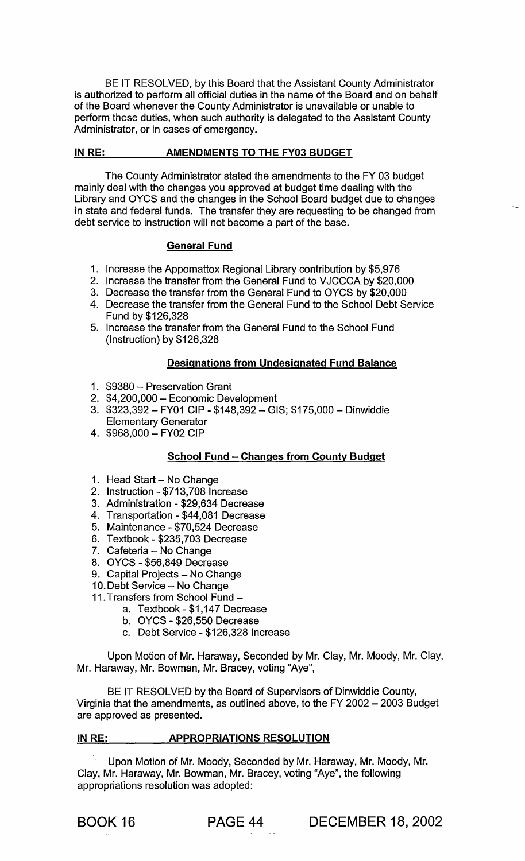BE IT RESOLVED, by this Board that the Assistant County Administrator is authorized to perform all official duties in the name of the Board and on behalf of the Board whenever the County Administrator is unavailable or unable to perform these duties, when such authority is delegated to the Assistant County Administrator, or in cases of emergency.

#### IN RE: \_\_\_\_ \_\_\_\_ AMENDMENTS TO THE FY03 BUDGET

The County Administrator stated the amendments to the FY 03 budget mainly deal with the changes you approved at budget time dealing with the Library and OYCS and the changes in the School Board budget due to changes in state and federal funds. The transfer they are requesting to be changed from debt service to instruction will not become a part of the base.

## General Fund

- 1. Increase the Appomattox Regional Library contribution by \$5,976
- 2. Increase the transfer from the General Fund to VJCCCA by \$20,000
- 3. Decrease the transfer from the General Fund to OYCS by \$20,000
- 4. Decrease the transfer from the General Fund to the School Debt Service Fund by \$126,328
- 5. Increase the transfer from the General Fund to the School Fund (Instruction) by \$126,328

## Designations from Undesignated Fund Balance

- 1. \$9380 Preservation Grant
- 2. \$4,200,000 Economic Development
- 3. \$323,392 FY01 CIP \$148,392 GIS; \$175,000 Dinwiddie Elementary Generator
- 4. \$968,000 FY02 CIP

# School Fund - Changes from County Budget

- 1. Head Start No Change
- 2. Instruction \$713,708 Increase
- 3. Administration \$29,634 Decrease
- 4. Transportation \$44,081 Decrease
- 5. Maintenance \$70,524 Decrease
- 6. Textbook \$235,703 Decrease
- 7. Cafeteria No Change
- 8. OYCS \$56,849 Decrease
- 9. Capital Projects No Change
- 10. Debt Service No Change
- 11. Transfers from School Fund
	- a. Textbook \$1,147 Decrease
	- b. OYCS \$26,550 Decrease
	- c. Debt Service \$126,328 Increase

Upon Motion of Mr. Haraway, Seconded by Mr. Clay, Mr. Moody, Mr. Clay, Mr. Haraway, Mr. Bowman, Mr. Bracey, voting "Aye",

BE IT RESOLVED by the Board of Supervisors of Dinwiddie County, Virginia that the amendments, as outlined above, to the FY 2002 - 2003 Budget are approved as presented.

## IN RE: APPROPRIATIONS RESOLUTION

- Upon Motion of Mr. Moody, Seconded by Mr. Haraway, Mr. Moody, Mr. Clay, Mr. Haraway, Mr. Bowman, Mr. Bracey, voting "Aye", the following appropriations resolution was adopted:

BOOK 16 PAGE 44 DECEMBER 18, 2002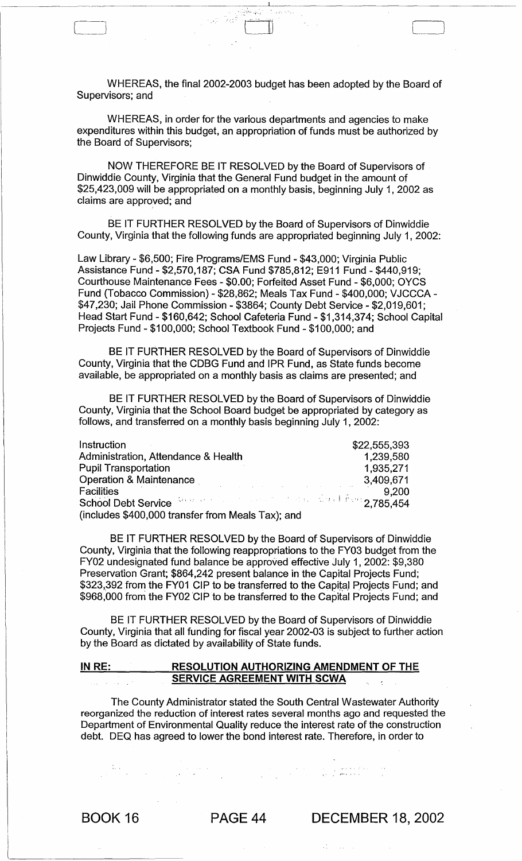WHEREAS, the final 2002-2003 budget has been adopted by the Board of Supervisors; and

CJ)

WHEREAS, in order for the various departments and agencies to make expenditures within this budget, an appropriation of funds must be authorized by the Board of Supervisors;

NOW THEREFORE BE IT RESOLVED by the Board of Supervisors of Dinwiddie County, Virginia that the General Fund budget in the amount of \$25,423,009 will be appropriated on a monthly basis, beginning July 1, 2002 as claims are approved; and

BE IT FURTHER RESOLVED by the Board of Supervisors of Dinwiddie County, Virginia that the following funds are appropriated beginning July 1, 2002:

Law Library - \$6,500; Fire Programs/EMS Fund - \$43,000; Virginia Public Assistance Fund - \$2,570,187; CSA Fund \$785,812; E911 Fund - \$440,919; Courthouse Maintenance Fees - \$0.00; Forfeited Asset Fund - \$6,000; OYCS Fund (Tobacco Commission) - \$28,862; Meals Tax Fund - \$400,000; VJCCCA- \$47,230; Jail Phone Commission - \$3864; County Debt Service - \$2,019,601; Head Start Fund - \$160,642; School Cafeteria Fund - \$1,314,374; School Capital Projects Fund - \$100,000; School Textbook Fund - \$100,000; and

BE IT FURTHER RESOLVED by the Board of Supervisors of Dinwiddie County, Virginia that the CDBG Fund and IPR Fund, as State funds become available, be appropriated on a monthly basis as claims are presented; and

BE IT FURTHER RESOLVED by the Board of Supervisors of Dinwiddie County, Virginia that the School Board budget be appropriated by category as follows, and transferred on a monthly basis beginning July 1, 2002:

| Instruction                                                                                                               | \$22,555,393 |
|---------------------------------------------------------------------------------------------------------------------------|--------------|
| Administration, Attendance & Health                                                                                       | 1,239,580    |
| <b>Pupil Transportation</b>                                                                                               | 1.935,271    |
| <b>Operation &amp; Maintenance</b><br>and the contract of the contract of the contract of the contract of the contract of | 3,409,671    |
| <b>Facilities</b>                                                                                                         | 9,200        |
| School Debt Service Management of the Countries of 2,785,454                                                              |              |
| (includes \$400,000 transfer from Meals Tax); and                                                                         |              |

BE IT FURTHER RESOLVED by the Board of Supervisors of Dinwiddie County, Virginia that the following reappropriations to the FY03 budget from the FY02 undesignated fund balance be approved effective July 1, 2002: \$9,380 Preservation Grant; \$864,242 present balance in the Capital Projects Fund; \$323,392 from the FY01 CIP to be transferred to the Capital Projects Fund; and \$968,000 from the FY02 'CIP to be transferred to the Capital Projects Fund; and

BE IT FURTHER RESOLVED by the Board of Supervisors of Dinwiddie County, Virginia that all funding for fiscal year 2002-03 is subject to further action by the Board as dictated by availability of State funds.

#### IN RE: RESOLUTION AUTHORIZING AMENDMENT OF THE SERVICE AGREEMENT WITH SCWA  $\mathcal{L}^{\text{max}}$

The County Administrator stated the South Central Wastewater Authority reorganized the reduction of interest rates several months ago and requested the Department of Environmental Quality reduce the interest rate of the construction debt. DEQ has agreed to lower the bond interest rate. Therefore, in order to

 $\label{eq:2.1} \frac{1}{2}\sum_{i=1}^n\frac{1}{2}\left(\frac{1}{2}\sum_{i=1}^n\frac{1}{2}\sum_{i=1}^n\frac{1}{2}\sum_{i=1}^n\frac{1}{2}\sum_{i=1}^n\frac{1}{2}\sum_{i=1}^n\frac{1}{2}\sum_{i=1}^n\frac{1}{2}\sum_{i=1}^n\frac{1}{2}\sum_{i=1}^n\frac{1}{2}\sum_{i=1}^n\frac{1}{2}\sum_{i=1}^n\frac{1}{2}\sum_{i=1}^n\frac{1}{2}\sum_{i=1}^n\frac{1}{2}\sum$ 

ing menggunakan pertama dari kecamatan.<br>Sebagai kecamatan penganjuran kecamatan

BOOK 16 PAGE 44 DECEMBER 18, 2002

 $\label{eq:2} \begin{array}{ll} \mathcal{L}_{\text{max}}(\mathcal{L}_{\text{max}}) = \mathcal{L}_{\text{max}}(\mathcal{L}_{\text{max}}) \\ \mathcal{L}_{\text{max}}(\mathcal{L}_{\text{max}}) = \mathcal{L}_{\text{max}}(\mathcal{L}_{\text{max}}) \end{array}$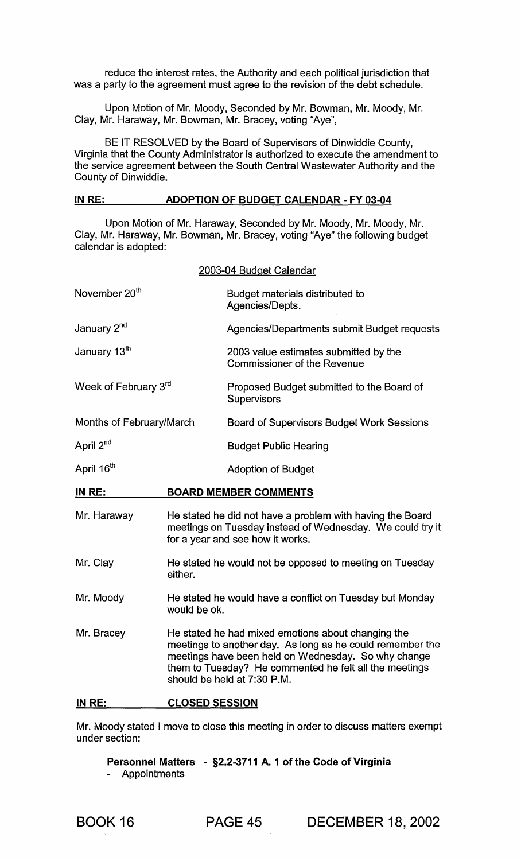reduce the interest rates, the Authority and each political jurisdiction that was a party to the agreement must agree to the revision of the debt schedule.

Upon Motion of Mr. Moody, Seconded by Mr. Bowman, Mr. Moody, Mr. Clay, Mr. Haraway, Mr. Bowman, Mr. Bracey, voting "Aye",

BE IT RESOLVED by the Board of Supervisors of Dinwiddie County, Virginia that the County Administrator is authorized to execute the amendment to the service agreement between the South Central Wastewater Authority and the County of Dinwiddie.

# IN RE: ADOPTION OF BUDGET CALENDAR - FY 03-04

Upon Motion of Mr. Haraway, Seconded by Mr. Moody, Mr. Moody, Mr. Clay, Mr. Haraway, Mr. Bowman, Mr. Bracey, voting "Aye" the following budget calendar is adopted:

|                          |                                                                                                                                                                                                                                                                 | 2003-04 Budget Calendar                                                     |
|--------------------------|-----------------------------------------------------------------------------------------------------------------------------------------------------------------------------------------------------------------------------------------------------------------|-----------------------------------------------------------------------------|
| November 20th            |                                                                                                                                                                                                                                                                 | Budget materials distributed to<br>Agencies/Depts.                          |
| January 2 <sup>nd</sup>  |                                                                                                                                                                                                                                                                 | Agencies/Departments submit Budget requests                                 |
| January 13 <sup>th</sup> |                                                                                                                                                                                                                                                                 | 2003 value estimates submitted by the<br><b>Commissioner of the Revenue</b> |
| Week of February 3rd     |                                                                                                                                                                                                                                                                 | Proposed Budget submitted to the Board of<br>Supervisors                    |
| Months of February/March |                                                                                                                                                                                                                                                                 | <b>Board of Supervisors Budget Work Sessions</b>                            |
| April 2 <sup>nd</sup>    |                                                                                                                                                                                                                                                                 | <b>Budget Public Hearing</b>                                                |
| April 16 <sup>th</sup>   |                                                                                                                                                                                                                                                                 | <b>Adoption of Budget</b>                                                   |
| <b>IN RE:</b>            |                                                                                                                                                                                                                                                                 | <b>BOARD MEMBER COMMENTS</b>                                                |
| Mr. Haraway              | He stated he did not have a problem with having the Board<br>meetings on Tuesday instead of Wednesday. We could try it<br>for a year and see how it works.                                                                                                      |                                                                             |
| Mr. Clay                 | He stated he would not be opposed to meeting on Tuesday<br>either.                                                                                                                                                                                              |                                                                             |
| Mr. Moody                | He stated he would have a conflict on Tuesday but Monday<br>would be ok.                                                                                                                                                                                        |                                                                             |
| Mr. Bracey               | He stated he had mixed emotions about changing the<br>meetings to another day. As long as he could remember the<br>meetings have been held on Wednesday. So why change<br>them to Tuesday? He commented he felt all the meetings<br>should be held at 7:30 P.M. |                                                                             |
| IN RE:                   | <b>CLOSED SESSION</b>                                                                                                                                                                                                                                           |                                                                             |

Mr. Moody stated I move to close this meeting in order to discuss matters exempt under section:

Personnel Matters - §2.2-3711 A. 1 of the Code of Virginia - Appointments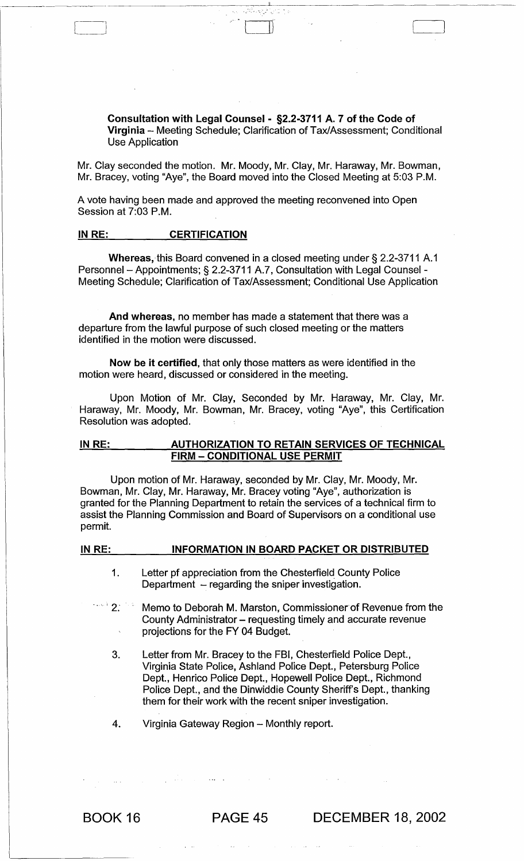Consultation with Legal Counsel - §2.2-3711 A. 7 of the Code of Virginia - Meeting Schedule; Clarification of Tax/Assessment; Conditional Use Application

Mr. Clay seconded the motion. Mr. Moody, Mr. Clay, Mr. Haraway, Mr. Bowman, Mr. Bracey, voting "Aye", the Board moved into the Closed Meeting at 5:03 P.M.

A vote having been made and approved the meeting reconvened into Open Session at 7:03 P.M.

# IN RE: CERTIFICATION

Whereas, this Board convened in a closed meeting under § 2.2-3711 A.1 Personnel - Appointments; § 2.2-3711 A.7, Consultation with Legal Counsel -Meeting Schedule; Clarification of Tax/Assessment; Conditional Use Application

And whereas, no member has made a statement that there was a departure from the lawful purpose of such closed meeting or the matters identified in the motion were discussed.

Now be it certified, that only those matters as were identified in the motion were heard, discussed or considered in the meeting.

Upon Motion of Mr. Clay, Seconded by Mr. Haraway, Mr. Clay, Mr. Haraway, Mr. Moody, Mr. Bowman, Mr. Bracey, voting "Aye", this Certification Resolution was adopted.

#### IN RE: AUTHORIZATION TO RETAIN SERVICES OF TECHNICAL FIRM - CONDITIONAL USE PERMIT

Upon motion of Mr. Haraway, seconded by Mr. Clay, Mr. Moody, Mr. Bowman, Mr. Clay, Mr. Haraway, Mr. Bracey voting "Aye", authorization is granted for the Planning Department to retain the services of a technical firm to assist the Planning Commission and Board of Supervisors on a conditional use permit.

#### IN RE: **INFORMATION IN BOARD PACKET OR DISTRIBUTED**

- 1. Letter pf appreciation from the Chesterfield County Police Department  $-$  regarding the sniper investigation.
- 2. **Example 10 Memo to Deborah M. Marston, Commissioner of Revenue from the** County Administrator - requesting timely and accurate revenue projections for the FY 04 Budget.
	- 3. Letter from Mr. Bracey to the FBI, Chesterfield Police Dept., Virginia State Police, Ashland Police Dept., Petersburg Police Dept., Henrico Police Dept., Hopewell Police Dept., Richmond Police Dept., and the Dinwiddie County Sheriff's Dept., thanking them for their work with the recent sniper investigation.
	- 4. Virginia Gateway Region Monthly report.

BOOK 16 PAGE 45 DECEMBER 18, 2002